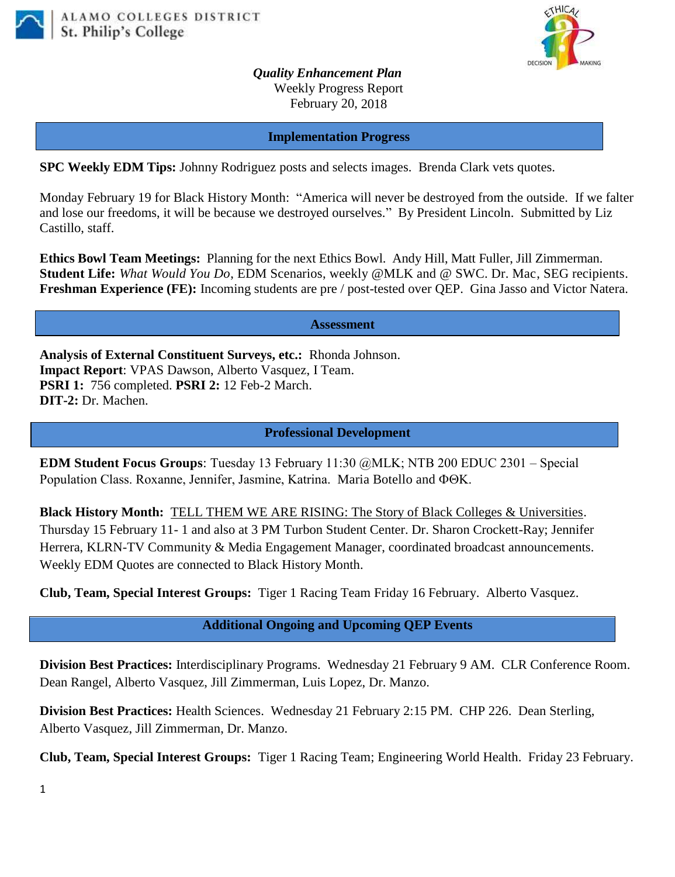



*Quality Enhancement Plan* Weekly Progress Report February 20, 2018

**Implementation Progress**

**SPC Weekly EDM Tips:** Johnny Rodriguez posts and selects images. Brenda Clark vets quotes.

Monday February 19 for Black History Month: "America will never be destroyed from the outside. If we falter and lose our freedoms, it will be because we destroyed ourselves." By President Lincoln. Submitted by Liz Castillo, staff.

**Ethics Bowl Team Meetings:** Planning for the next Ethics Bowl.Andy Hill, Matt Fuller, Jill Zimmerman. **Student Life:** *What Would You Do*, EDM Scenarios, weekly @MLK and @ SWC. Dr. Mac, SEG recipients. **Freshman Experience (FE):** Incoming students are pre / post-tested over QEP. Gina Jasso and Victor Natera.

**Assessment**

**Analysis of External Constituent Surveys, etc.:** Rhonda Johnson. **Impact Report**: VPAS Dawson, Alberto Vasquez, I Team. **PSRI 1:** 756 completed. **PSRI 2:** 12 Feb-2 March. **DIT-2:** Dr. Machen.

**Professional Development**

**EDM Student Focus Groups**: Tuesday 13 February 11:30 @MLK; NTB 200 EDUC 2301 – Special Population Class. Roxanne, Jennifer, Jasmine, Katrina. Maria Botello and  $\Phi\Theta K$ .

**Black History Month:** [TELL THEM WE ARE RISING: The Story of Black Colleges & Universities.](https://mail.alamo.edu/owa/redir.aspx?C=p_vRYKzivpqE5jB8ZeqSiTVs1F6XJd3V8aD2dXT8ByOipnSRzDbVCA..&URL=https%3a%2f%2fyoutu.be%2fu8hmqpAzjRo) Thursday 15 February 11- 1 and also at 3 PM Turbon Student Center. Dr. Sharon Crockett-Ray; Jennifer Herrera, KLRN-TV Community & Media Engagement Manager, coordinated broadcast announcements. Weekly EDM Quotes are connected to Black History Month.

**Club, Team, Special Interest Groups:** Tiger 1 Racing Team Friday 16 February. Alberto Vasquez.

 **Additional Ongoing and Upcoming QEP Events**

**Division Best Practices:** Interdisciplinary Programs. Wednesday 21 February 9 AM. CLR Conference Room. Dean Rangel, Alberto Vasquez, Jill Zimmerman, Luis Lopez, Dr. Manzo.

**Division Best Practices:** Health Sciences. Wednesday 21 February 2:15 PM. CHP 226. Dean Sterling, Alberto Vasquez, Jill Zimmerman, Dr. Manzo.

**Club, Team, Special Interest Groups:** Tiger 1 Racing Team; Engineering World Health. Friday 23 February.